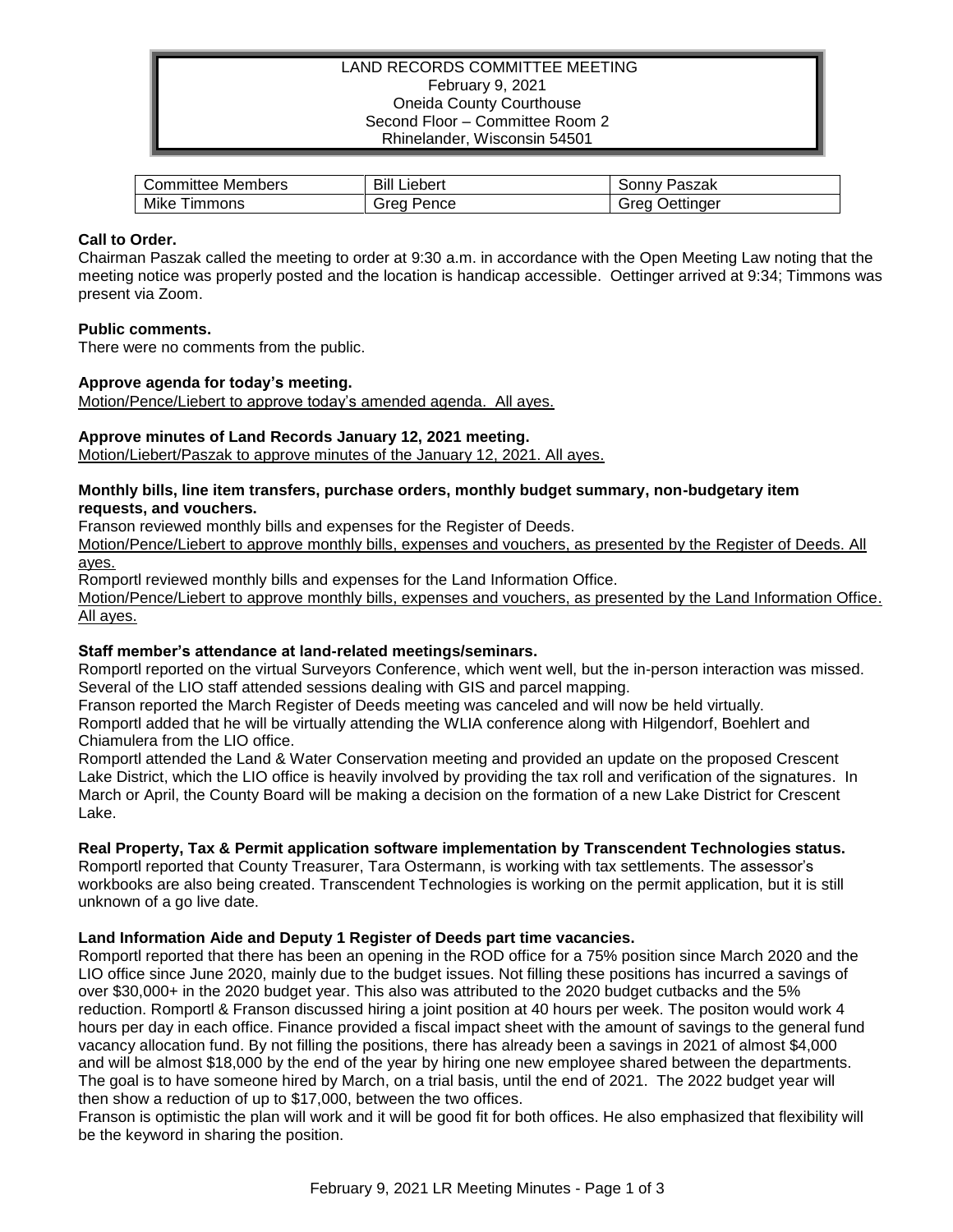## LAND RECORDS COMMITTEE MEETING February 9, 2021 Oneida County Courthouse Second Floor – Committee Room 2 Rhinelander, Wisconsin 54501

| Members          | Bill          | 'aszak                 |
|------------------|---------------|------------------------|
| Committee        | Liebert       | `onnٽ                  |
| Mike<br>I immons | irea<br>Pence | .<br>irea<br>Jettınaer |

## **Call to Order.**

Chairman Paszak called the meeting to order at 9:30 a.m. in accordance with the Open Meeting Law noting that the meeting notice was properly posted and the location is handicap accessible. Oettinger arrived at 9:34; Timmons was present via Zoom.

## **Public comments.**

There were no comments from the public.

# **Approve agenda for today's meeting.**

Motion/Pence/Liebert to approve today's amended agenda. All ayes.

# **Approve minutes of Land Records January 12, 2021 meeting.**

Motion/Liebert/Paszak to approve minutes of the January 12, 2021. All ayes.

### **Monthly bills, line item transfers, purchase orders, monthly budget summary, non-budgetary item requests, and vouchers.**

Franson reviewed monthly bills and expenses for the Register of Deeds.

Motion/Pence/Liebert to approve monthly bills, expenses and vouchers, as presented by the Register of Deeds. All ayes.

Romportl reviewed monthly bills and expenses for the Land Information Office.

Motion/Pence/Liebert to approve monthly bills, expenses and vouchers, as presented by the Land Information Office. All ayes.

### **Staff member's attendance at land-related meetings/seminars.**

Romportl reported on the virtual Surveyors Conference, which went well, but the in-person interaction was missed. Several of the LIO staff attended sessions dealing with GIS and parcel mapping.

Franson reported the March Register of Deeds meeting was canceled and will now be held virtually.

Romportl added that he will be virtually attending the WLIA conference along with Hilgendorf, Boehlert and Chiamulera from the LIO office.

Romportl attended the Land & Water Conservation meeting and provided an update on the proposed Crescent Lake District, which the LIO office is heavily involved by providing the tax roll and verification of the signatures. In March or April, the County Board will be making a decision on the formation of a new Lake District for Crescent Lake.

### **Real Property, Tax & Permit application software implementation by Transcendent Technologies status.**

Romportl reported that County Treasurer, Tara Ostermann, is working with tax settlements. The assessor's workbooks are also being created. Transcendent Technologies is working on the permit application, but it is still unknown of a go live date.

# **Land Information Aide and Deputy 1 Register of Deeds part time vacancies.**

Romportl reported that there has been an opening in the ROD office for a 75% position since March 2020 and the LIO office since June 2020, mainly due to the budget issues. Not filling these positions has incurred a savings of over \$30,000+ in the 2020 budget year. This also was attributed to the 2020 budget cutbacks and the 5% reduction. Romportl & Franson discussed hiring a joint position at 40 hours per week. The positon would work 4 hours per day in each office. Finance provided a fiscal impact sheet with the amount of savings to the general fund vacancy allocation fund. By not filling the positions, there has already been a savings in 2021 of almost \$4,000 and will be almost \$18,000 by the end of the year by hiring one new employee shared between the departments. The goal is to have someone hired by March, on a trial basis, until the end of 2021. The 2022 budget year will then show a reduction of up to \$17,000, between the two offices.

Franson is optimistic the plan will work and it will be good fit for both offices. He also emphasized that flexibility will be the keyword in sharing the position.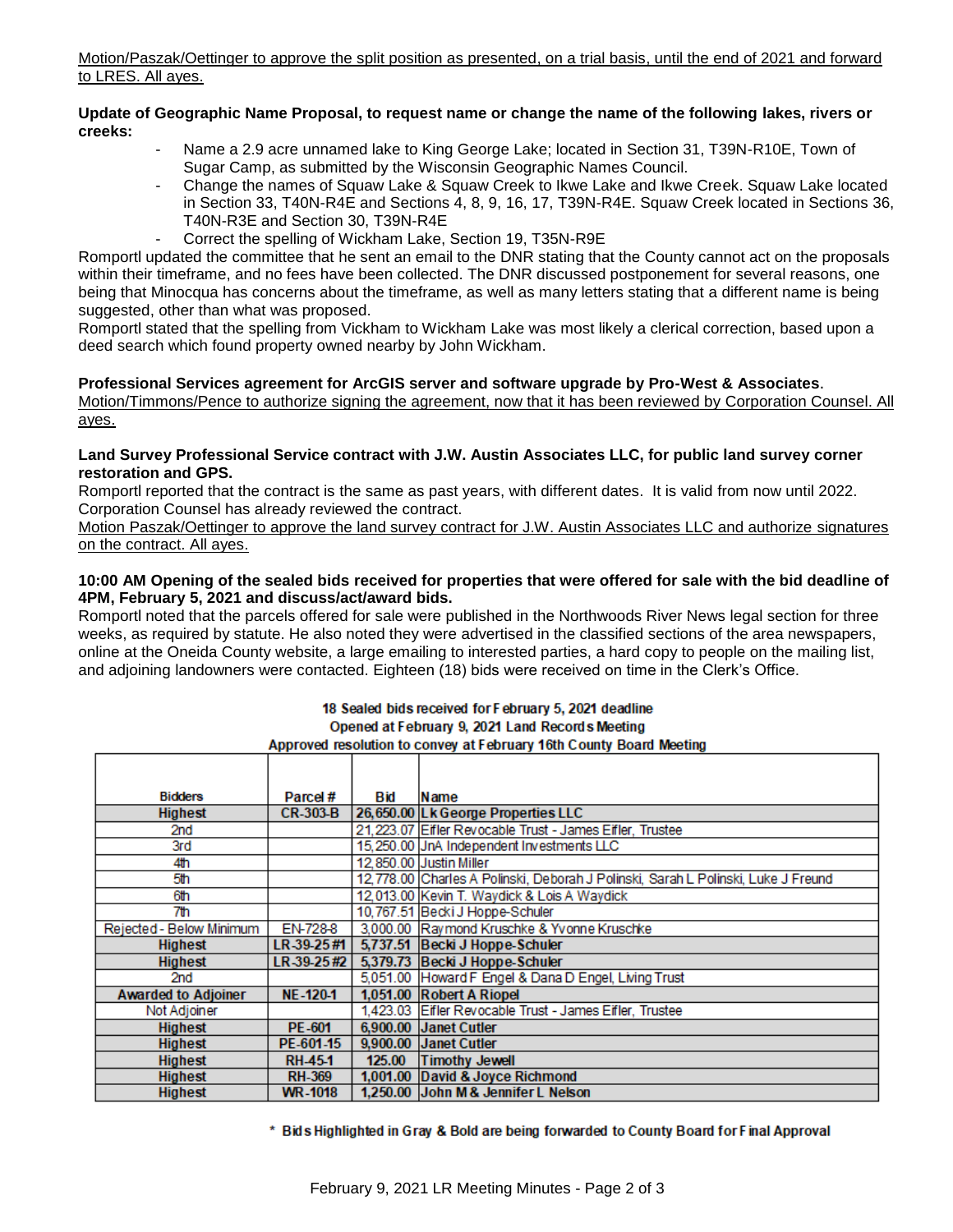Motion/Paszak/Oettinger to approve the split position as presented, on a trial basis, until the end of 2021 and forward to LRES. All ayes.

### **Update of Geographic Name Proposal, to request name or change the name of the following lakes, rivers or creeks:**

- Name a 2.9 acre unnamed lake to King George Lake; located in Section 31, T39N-R10E, Town of Sugar Camp, as submitted by the Wisconsin Geographic Names Council.
- Change the names of Squaw Lake & Squaw Creek to Ikwe Lake and Ikwe Creek. Squaw Lake located in Section 33, T40N-R4E and Sections 4, 8, 9, 16, 17, T39N-R4E. Squaw Creek located in Sections 36, T40N-R3E and Section 30, T39N-R4E
- Correct the spelling of Wickham Lake, Section 19, T35N-R9E

Romportl updated the committee that he sent an email to the DNR stating that the County cannot act on the proposals within their timeframe, and no fees have been collected. The DNR discussed postponement for several reasons, one being that Minocqua has concerns about the timeframe, as well as many letters stating that a different name is being suggested, other than what was proposed.

Romportl stated that the spelling from Vickham to Wickham Lake was most likely a clerical correction, based upon a deed search which found property owned nearby by John Wickham.

# **Professional Services agreement for ArcGIS server and software upgrade by Pro-West & Associates**.

Motion/Timmons/Pence to authorize signing the agreement, now that it has been reviewed by Corporation Counsel. All ayes.

### **Land Survey Professional Service contract with J.W. Austin Associates LLC, for public land survey corner restoration and GPS.**

Romportl reported that the contract is the same as past years, with different dates. It is valid from now until 2022. Corporation Counsel has already reviewed the contract.

Motion Paszak/Oettinger to approve the land survey contract for J.W. Austin Associates LLC and authorize signatures on the contract. All ayes.

### **10:00 AM Opening of the sealed bids received for properties that were offered for sale with the bid deadline of 4PM, February 5, 2021 and discuss/act/award bids.**

Romportl noted that the parcels offered for sale were published in the Northwoods River News legal section for three weeks, as required by statute. He also noted they were advertised in the classified sections of the area newspapers, online at the Oneida County website, a large emailing to interested parties, a hard copy to people on the mailing list, and adjoining landowners were contacted. Eighteen (18) bids were received on time in the Clerk's Office.

| <b>Bidders</b>             | Parcel#         | Bid | Name                                                                              |
|----------------------------|-----------------|-----|-----------------------------------------------------------------------------------|
| <b>Highest</b>             | <b>CR-303-B</b> |     | 26,650.00 Lk George Properties LLC                                                |
| 2nd                        |                 |     | 21, 223.07 Eifler Revocable Trust - James Eifler, Trustee                         |
| 3rd                        |                 |     | 15,250.00 JnA Independent Investments LLC                                         |
| 4th                        |                 |     | 12,850.00 Justin Miller                                                           |
| 5th                        |                 |     | 12,778.00 Charles A Polinski, Deborah J Polinski, Sarah L Polinski, Luke J Freund |
| 6th                        |                 |     | 12,013.00 Kevin T. Waydick & Lois A Waydick                                       |
| 7th                        |                 |     | 10,767.51 Becki J Hoppe-Schuler                                                   |
| Rejected - Below Minimum   | <b>EN-728-8</b> |     | 3,000.00 Raymond Kruschke & Yvonne Kruschke                                       |
| Highest                    | LR 39-25#1      |     | 5,737.51 Becki J Hoppe-Schuler                                                    |
| <b>Highest</b>             | LR 39-25#2      |     | 5,379.73 Becki J Hoppe-Schuler                                                    |
| 2nd                        |                 |     | 5,051.00 Howard F Engel & Dana D Engel, Living Trust                              |
| <b>Awarded to Adjoiner</b> | <b>NE-120-1</b> |     | 1,051.00 Robert A Riopel                                                          |
| Not Adjoiner               |                 |     | 1,423.03 Eifler Revocable Trust - James Eifler, Trustee                           |
| <b>Highest</b>             | <b>PE-601</b>   |     | 6,900.00 Janet Cutler                                                             |
| <b>Highest</b>             | PE-601-15       |     | 9,900.00 Janet Cutler                                                             |
| <b>Highest</b>             | <b>RH-45-1</b>  |     | 125.00 Timothy Jewell                                                             |
| <b>Highest</b>             | <b>RH-369</b>   |     | 1,001.00 David & Joyce Richmond                                                   |
| <b>Highest</b>             | <b>WR-1018</b>  |     | 1,250.00 John M & Jennifer L Nelson                                               |

#### 18 Sealed bids received for February 5, 2021 deadline Opened at February 9, 2021 Land Records Meeting Approved resolution to convey at February 16th County Board Meeting

\* Bids Highlighted in Gray & Bold are being forwarded to County Board for Final Approval